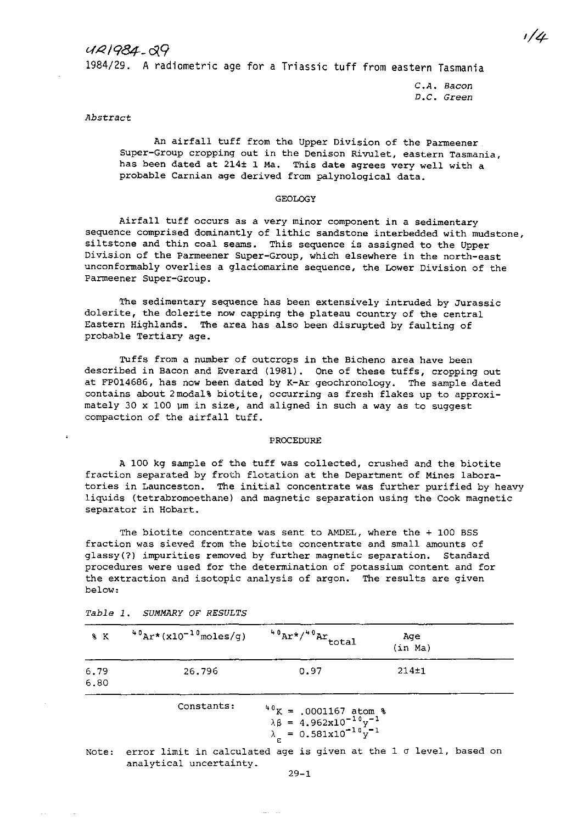# $44/984.09$

1984/29. A radiometric age for a Triassic tuff from eastern Tasmania

*C.A. Bacon D.C.* **Green** 

# *Abstract*

An airfall tuff from the Upper Division of the Parmeener **Super-Group cropping out in the** *Denison* **Rivulet, eastern Tasmania,**  has been dated at 214± 1 Ma. This date agrees very well with a probable Carnian age derived from palynological data.

# GEOLOGY

**Airfall tuff occurs as a very minor component in a sedimentary**  sequence comprised dominantly of lithic sandstone interbedded with mudstone, siltstone and thin coal seams. This sequence is assigned to the Upper **Division of the Parmeener Super-Group, which elsewhere in the north-east unconformably overlies a glaciomarine sequence, the Lower Division of the**  Parmeener Super-Group.

**The sedimentary sequence has been extensively intruded by Jurassic**  dolerite, the dolerite now capping the plateau country of the central Eastern Highlands. The area has also been disrupted by faulting of probable Tertiary age.

**Tuffs from a number of outcrops in the Bicheno area have been**  described in Bacon and Everard (1981). One of these tuffs, cropping out at FP014686, has now been dated by K-Ar geochronology. The sample dated contains about 2modal% biotite, occurring as fresh flakes up to approximately 30  $\times$  100  $\mu$ m in size, and aligned in such a way as to suggest compaction of the airfall tuff.

#### PROCEDURE

A 100 kg sample of the tuff was collected, crushed and the biotite fraction separated by froth flotation at the Department of Mines laboratories in Launceston. The initial concentrate was further purified by heavy liquids (tetrabromoethane) and magnetic separation using the Cook magnetic **separator in Hobart.** 

The biotite concentrate was sent to AMDEL, where the + 100 BSS **fraction was sieved from the biotite concentrate and small amounts of glassy(?) impurities removed by further magnetic separation. Standard procedures were used for the determination of potassium content and for the extraction and isotopic analysis of argon. The results are given**  below:

| 8 K                                                                                                                                          | $^{40}$ Ar*(x10 <sup>-10</sup> moles/g)                           | $40$ Ar*/ $40$ Ar total | Ace<br>(in Ma) |  |
|----------------------------------------------------------------------------------------------------------------------------------------------|-------------------------------------------------------------------|-------------------------|----------------|--|
| 6.79<br>6.80                                                                                                                                 | 26.796                                                            | 0.97                    | $214 + 1$      |  |
| Constants:<br>$40K = .0001167$ atom %<br>$\lambda \beta = 4.962 \times 10^{-10} y^{-1}$<br>$\lambda \epsilon = 0.581 \times 10^{-10} y^{-1}$ |                                                                   |                         |                |  |
| Note:                                                                                                                                        | error limit in calculated age is given at the 1 o level, based on |                         |                |  |

*Table 1. SUMMARY* OF *RESULTS* 

**analytical uncertainty.** 

29-1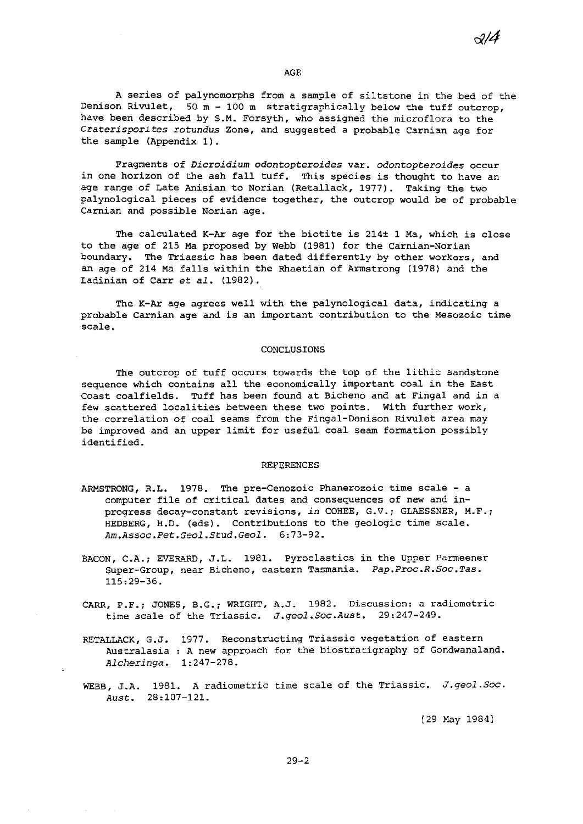$\mathcal{A}$ 

#### AGE

A series of palynomorphs from a sample of siltstone in the bed of the Denison Rivulet,  $50 m - 100 m$  stratigraphically below the tuff outcrop, have been described by S.M. Forsyth, who assigned the microflora to the *Craterisporites rotundus* Zone, and suggested a probable Carnian age for the sample (Appendix 1).

**Fragments of** *Dicroidium odontopteroides* **var.** *odontopteroides* **occur**  in one horizon of the ash fall tuff. This species is thought to have an age range of Late Anisian to Norian (Retallack, 1977). Taking the two palynological pieces of evidence together, the outcrop would be of probable **Carnian and possible Norian age.** 

The calculated K-Ar age for the biotite is 214± 1 Ma, which is close to the age of 215 Ma proposed by Webb (1981) for the Carnian-Norian **boundary. The Triassic has been dated differently by other workers, and**  an age of 214 Ma falls within the Rhaetian of Armstrong (1978) and the Ladinian of Carr et *al. (1982).* 

The K-Ar age agrees well with the palynological data, indicating a **probable Carnian age and is an important contribution to the Mesozoic time scale.** 

# CONCLUSIONS

The outcrop of tuff occurs towards the top of the lithic sandstone sequence which contains all the economically important coal in the East Coast coalfields. Tuff has been found at Bicheno and at Fingal and in a few scattered localities between these two points. With further work, the correlation of coal seams from the Fingal-Denison Rivulet area may be improved and an upper limit for useful coal seam formation possibly identified.

#### REFERENCES

- ARMSTRONG, R.L. 1978. The pre-Cenozoic Phanerozoic time scale a **computer file of critical dates and consequences of new and inprogress decay-constant revisions,** *in* **COHEE, G.V.; GLAESSNER, M.F.i**  HEDBERG, H.D. (eds). Contributions to the geologic time scale. *Am.Assoc.Pet.Geol.Stud.Geol. 6:73-92.*
- BACON, C.A.; EVERARD, J.L. 1981. Pyroclastics in the Upper Parmeener **Super-Group, near Bicheno, eastern Tasmania.** *Pap.Proc.R.Soc.Tas.*  115:29-36.
- **CARR, P.F.i JONES, B.G.; WRIGHT, A.J. 1982. Discussion: a radiometric**  time scale of the Triassic. *J.geol.Soc.Aust. 29:247-249.*
- RETALLACK, G.J. 1977. Reconstructing Triassic vegetation of eastern Australasia : A new approach for the biostratigraphy of Gondwanaland. *Alcheringa.*  1:247-278.
- WEBB, J.A. 1981. A radiometric time scale of the Triassic. *J.geol.Soc. Aust. 28:107-121.*

[29 May 1984]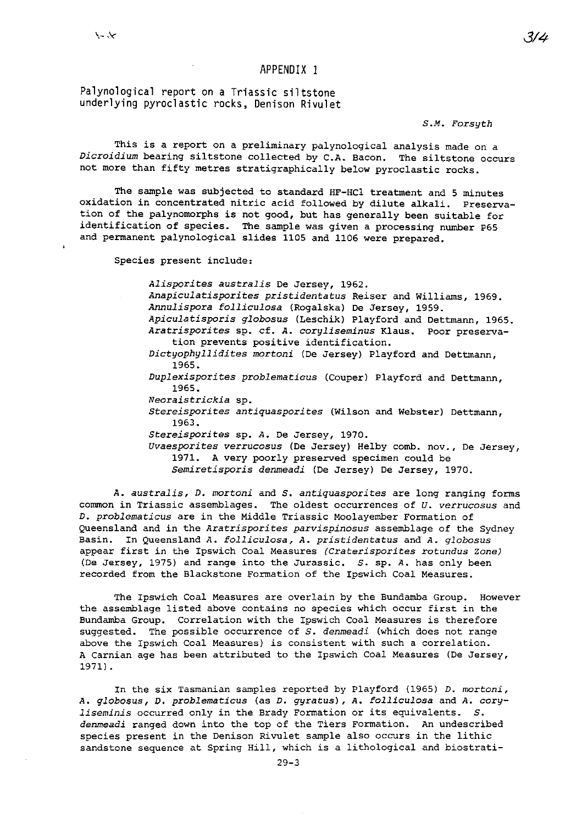# APPENDIX 1

Palynological report on a Triassic siltstone underlying pyroclastic rocks, Denison Rivulet

# *S.M. Forsyth*

This is a report on a preliminary palynological analysis made on a *Dicroidium* bearing siltstone collected by C.A. Bacon. The siltstone occurs not more than fifty metres stratigraphically below pyroclastic rocks.

The sample was subjected to standard HF-HCI treatment and 5 minutes oxidation in concentrated nitric acid followed by dilute alkali. Preservation of the palynomorphs is not good, but has generally been suitable for identification of species. The sample was given a processing number P65 and permanent palynological slides 1105 and 1106 were prepared.

Species present include:

*Alisporites australis* De Jersey, 1962. *Anapiculatisporites pristidentatus* Reiser and Williams, 1969. *Annulispora folliculosa* (Rogalska) De Jersey, 1959. *Apiculatisporis globosus* (Leschik) Playford and Dettmann, 1965. *Aratrisporites* **sp. cf. A.** *coryliseminus* **Klaus. Poor preserva**tion prevents positive identification. *Dictyophyllidites mortoni* (De Jersey) Playford and Dettmann, 1965. *Duplexisporites problematiaus* (Couper) Playford and Dettmann, 1965. *Neoraistrickia* **sp.**  *Stereisporites antiquasporites* **(Wilson and Webster) Dettmann,**  1963. *Stereisporites* sp. A. De Jersey, 1970. *Uvaesporites verrucosus* (De Jersey) Helby comb. nov., De Jersey, 1971. A very poorly preserved specimen could be *Semiretisporis denmeadi* (De Jersey) De Jersey, 1970.

A. *australis,* D. *mortoni* and *S. antiquasporites* are long ranging forms **common in Triassic assemblages. The oldest occurrences of** *U. verrucosus* **and**  D. *problamaticus* are in the Middle Triassic Moolayember Formation of QUeensland and *in* the *Aratrisporites parvispinosus* assemblage of the Sydney **Basin. In Queensland** *A. folliculosa, A. pristidentatus* **and** *A. globosus*  **appear first in the Ipswich Coal Measures** *(Craterisporites rotundus Zone)*  (De Jersey, 1975) and range into the Jurassic. *S.* sp. A. has only been recorded from the Blackstone Formation of the Ipswich Coal Measures.

The Ipswich Coal Measures are overlain by the Bundamba Group. However **the assemblage listed above contains no species which occur first in the**  Bundamba Group. Correlation with the Ipswich Coal Measures *is* therefore suggested. The possible occurrence of *S. denmeadi* (which does not range **above the Ipswich Coal Measures)** *is* **consistent with such a correlation.**  A Carnian age has been attributed to the Ipswich Coal Measures (De Jersey, 1971) .

In the six Tasmanian samples reported by Playford (1965) D. *mortoni,*  A. *globosus,* D. *problematicus* (as D. *gyratus),* A. *folliculosa* and A. *coryliseminis* occurred only *in* the Brady Formation or its equivalents. *S. denmeadi* ranged down into the top of the Tiers Formation. An undescribed species present in the *Denison* Rivulet sample also occurs in the lithic sandstone sequence at Spring Hill, which *is* a lithological and biostrati3/4